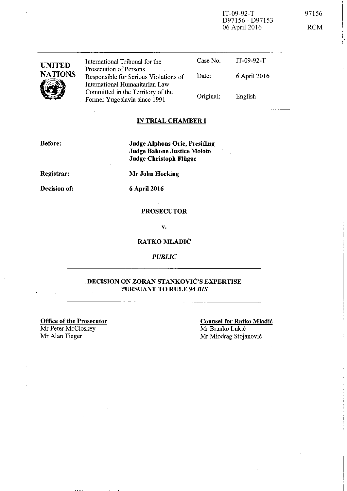IT-09-92-T 97156 D97156 - D97153 06 April 2016 RCM

--------------,

| <b>UNITED</b><br><b>NATIONS</b> | International Tribunal for the<br>Prosecution of Persons<br>Responsible for Serious Violations of<br>International Humanitarian Law<br>Committed in the Territory of the<br>Former Yugoslavia since 1991 | Case No.  | $IT-09-92-T$ |  |
|---------------------------------|----------------------------------------------------------------------------------------------------------------------------------------------------------------------------------------------------------|-----------|--------------|--|
|                                 |                                                                                                                                                                                                          | Date:     | 6 April 2016 |  |
|                                 |                                                                                                                                                                                                          | Original: | English      |  |
|                                 |                                                                                                                                                                                                          |           |              |  |

#### IN TRIAL CHAMBER **I**

Before:

Judge Alphons Orie, Presiding Judge Bakone Justice Moloto Judge Christoph Flügge

Registrar:

Mr John Hocking

Decision of:

6 April 2016

### PROSECUTOR

v.

### RATKO MLADIC

*PUBLIC* 

## DECISION ON ZORAN STANKOVIC'S EXPERTISE PURSUANT TO RULE 94 *BIS*

Office of the Prosecutor Mr Peter McCloskey<br>Mr Alan Tieger

Counsel for Ratko Mladic Mr Branko Lukic Mr Miodrag Stojanović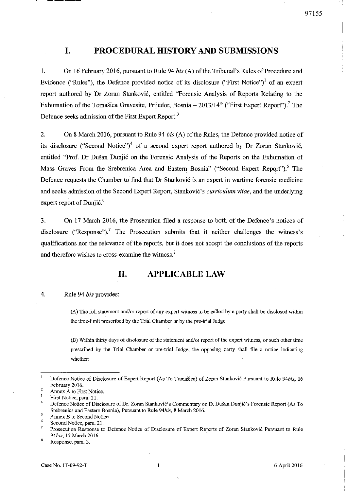## **I. PROCEDURAL mSTORY AND SUBMISSIONS**

-------------------------

1. On 16 February 2016, pursuant to Rule 94 *his* (A) of the Tribunal's Rules of Procedure and Evidence ("Rules"), the Defence provided notice of its disclosure ("First Notice")! of an expert report authored by Dr Zoran Stankovic, entitled "Forensic Analysis of Reports Relating to the Exhumation of the Tomašica Gravesite, Prijedor, Bosnia - 2013/14" ("First Expert Report").<sup>2</sup> The Defence seeks admission of the First Expert Report.<sup>3</sup>

2. On 8 March 2016, pursuant to Rule 94 *his* (A) of the Rules, the Defence provided notice of its disclosure ("Second Notice")<sup>4</sup> of a second expert report authored by Dr Zoran Stanković. entitled "Prof. Dr Dusan Dunjic on the Forensic Analysis of the Reports on the Exhumation of Mass Graves From the Srebrenica Area and Eastern Bosnia" ("Second Expert Report").<sup>5</sup> The Defence requests the Chamber to find that Dr Stankovic is an expert in wartime forensic medicine and seeks admission of the Second Expert Report, Stanković's *curriculum vitae*, and the underlying expert report of Dunjic. $<sup>6</sup>$ </sup>

3. On 17 March 2016, the Prosecution filed a response to both of the Defence's notices of disclosure ("Response").<sup>7</sup> The Prosecution submits that it neither challenges the witness's qualifications nor the relevance of the reports, but it does not accept the conclusions of the reports and therefore wishes to cross-examine the witness.<sup>8</sup>

## **II. APPLICABLE LAW**

#### 4. Rule 94 *his* provides:

(A) The full statement and/or report of any expert witness to be called by a party shall be disclosed within **the time-limit prescribed by the Trial Chamber or by the pre-trial Judge.** 

**(B) Within thirty days of disclosure** of the **statement and/or report** of the **expert wi1ness, or such other time prescribed by the Trial Chamber or pre-trial Judge, the opposing party shall file a notice indicating**  whether:

 $\overline{2}$ **Defence Notice of Disclosure of Expert Report (As To TomaS:ica) of Zoran Stankovic Pursuant to Rule** *94bis, 16*  February 2016.

**Annex A to First Notice.** 

**First Notice, para. 2l.** 

<sup>4</sup>  Defence Notice of Disclosure of Dr. Zoran Stanković's Commentary on D. Dušan Dunjić's Forensic Report (As To **Srebrenica and Eastern Bosnia), Pursuant to Rule** *94bis,* **8 March 2016.** 

**Annex B to Second Notice.** 

**Second Notice, para. 21.** 

 $\gamma$ **Prosecution Response to Defence Notice of Disclosure of Expert Reports of Zoran Stankovi6 Pursuant to Rule**  *94bis,* 17 March 2016.

**Response, para. 3.**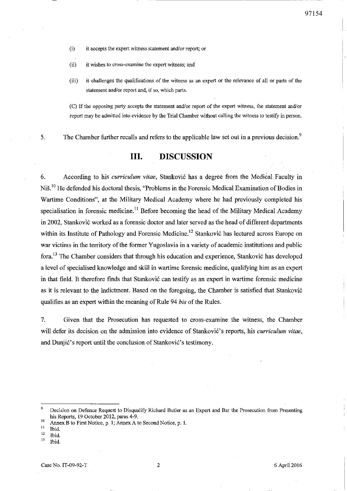(i) it accepts the expert witness statement and/or report; or

**(ii) it wishes to cross-examine the expert witness; and** 

(iii) it challenges the qualifications of the witness as an expert or the relevance of all or parts of the **statement and/or report and, if so, which parts.** 

---------------------------- -

**(C) If the opposing party accepts the statement and/or report of the expert witness, the statement and/or report may be admitted into evidence by the Trial Chamber without calling the witness to testify in person.** 

5. The Chamber further recalls and refers to the applicable law set out in a previous decision.<sup>9</sup>

## **III. DISCUSSION**

6. According to his *curriculum vitae,* Stankovi6 has a degree from the Medical Faculty in Niš.<sup>10</sup> He defended his doctoral thesis, "Problems in the Forensic Medical Examination of Bodies in Wartime Conditions", at the Military Medical Academy where he had previously completed his specialisation in forensic medicine.<sup>11</sup> Before becoming the head of the Military Medical Academy in 2002, Stanković worked as a forensic doctor and later served as the head of different departments within its Institute of Pathology and Forensic Medicine.<sup>12</sup> Stanković has lectured across Europe on war victims in the territory of the former Yugoslavia in a variety of academic institutions and public fora.<sup>13</sup> The Chamber considers that through his education and experience, Stanković has developed a level of specialised knowledge and skill in wartime forensic medicine, qualifYing him as an expert in that field. It therefore finds that Stanković can testify as an expert in wartime forensic medicine as it is relevant to the indictment. Based on the foregoing, the Chamber is satisfied that Stanković qualifies as an expert within the meaning of Rule 94 *bis* of the Rules.

7. Given that the Prosecution has requested to cross-examine the witness, the Chamber will defer its decision on the admission into evidence of Stanković's reports, his *curriculum vitae*, and Dunjić's report until the conclusion of Stanković's testimony.

**13 Ibid.** 

<sup>9</sup> **Decision on Defence Request to Disqualify Richard Butler as an Expert and Bar the Prosecution from Presenting**  his Reports, 19 October 2012, paras 4-9.

<sup>&</sup>lt;sup>10</sup> Annex B to First Notice, p. 1; Annex A to Second Notice, p. 1.

 $\frac{11}{12}$  Ibid.

**<sup>12</sup> Ibid.**